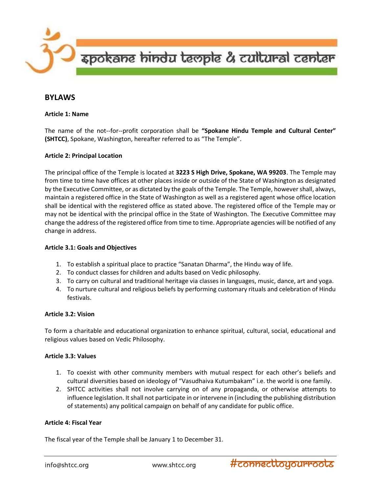

# BYLAWS

### Article 1: Name

The name of the not--for--profit corporation shall be "Spokane Hindu Temple and Cultural Center" (SHTCC), Spokane, Washington, hereafter referred to as "The Temple".

# Article 2: Principal Location

The principal office of the Temple is located at 3223 S High Drive, Spokane, WA 99203. The Temple may from time to time have offices at other places inside or outside of the State of Washington as designated by the Executive Committee, or as dictated by the goals of the Temple. The Temple, however shall, always, maintain a registered office in the State of Washington as well as a registered agent whose office location shall be identical with the registered office as stated above. The registered office of the Temple may or may not be identical with the principal office in the State of Washington. The Executive Committee may change the address of the registered office from time to time. Appropriate agencies will be notified of any change in address.

### Article 3.1: Goals and Objectives

- 1. To establish a spiritual place to practice "Sanatan Dharma", the Hindu way of life.
- 2. To conduct classes for children and adults based on Vedic philosophy.
- 3. To carry on cultural and traditional heritage via classes in languages, music, dance, art and yoga.
- 4. To nurture cultural and religious beliefs by performing customary rituals and celebration of Hindu festivals.

# Article 3.2: Vision

To form a charitable and educational organization to enhance spiritual, cultural, social, educational and religious values based on Vedic Philosophy.

# Article 3.3: Values

- 1. To coexist with other community members with mutual respect for each other's beliefs and cultural diversities based on ideology of "Vasudhaiva Kutumbakam" i.e. the world is one family.
- 2. SHTCC activities shall not involve carrying on of any propaganda, or otherwise attempts to influence legislation. It shall not participate in or intervene in (including the publishing distribution of statements) any political campaign on behalf of any candidate for public office.

# Article 4: Fiscal Year

The fiscal year of the Temple shall be January 1 to December 31.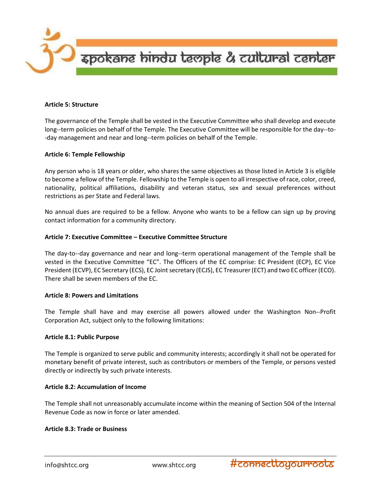

#### Article 5: Structure

The governance of the Temple shall be vested in the Executive Committee who shall develop and execute long--term policies on behalf of the Temple. The Executive Committee will be responsible for the day--to- -day management and near and long--term policies on behalf of the Temple.

### Article 6: Temple Fellowship

Any person who is 18 years or older, who shares the same objectives as those listed in Article 3 is eligible to become a fellow of the Temple. Fellowship to the Temple is open to all irrespective of race, color, creed, nationality, political affiliations, disability and veteran status, sex and sexual preferences without restrictions as per State and Federal laws.

No annual dues are required to be a fellow. Anyone who wants to be a fellow can sign up by proving contact information for a community directory.

### Article 7: Executive Committee – Executive Committee Structure

The day-to--day governance and near and long--term operational management of the Temple shall be vested in the Executive Committee "EC". The Officers of the EC comprise: EC President (ECP), EC Vice President (ECVP), EC Secretary (ECS), EC Joint secretary (ECJS), EC Treasurer (ECT) and two EC officer (ECO). There shall be seven members of the EC.

#### Article 8: Powers and Limitations

The Temple shall have and may exercise all powers allowed under the Washington Non--Profit Corporation Act, subject only to the following limitations:

#### Article 8.1: Public Purpose

The Temple is organized to serve public and community interests; accordingly it shall not be operated for monetary benefit of private interest, such as contributors or members of the Temple, or persons vested directly or indirectly by such private interests.

#### Article 8.2: Accumulation of Income

The Temple shall not unreasonably accumulate income within the meaning of Section 504 of the Internal Revenue Code as now in force or later amended.

### Article 8.3: Trade or Business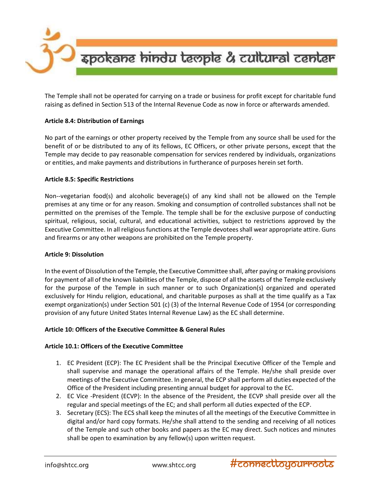

The Temple shall not be operated for carrying on a trade or business for profit except for charitable fund raising as defined in Section 513 of the Internal Revenue Code as now in force or afterwards amended.

# Article 8.4: Distribution of Earnings

No part of the earnings or other property received by the Temple from any source shall be used for the benefit of or be distributed to any of its fellows, EC Officers, or other private persons, except that the Temple may decide to pay reasonable compensation for services rendered by individuals, organizations or entities, and make payments and distributions in furtherance of purposes herein set forth.

### Article 8.5: Specific Restrictions

Non--vegetarian food(s) and alcoholic beverage(s) of any kind shall not be allowed on the Temple premises at any time or for any reason. Smoking and consumption of controlled substances shall not be permitted on the premises of the Temple. The temple shall be for the exclusive purpose of conducting spiritual, religious, social, cultural, and educational activities, subject to restrictions approved by the Executive Committee. In all religious functions at the Temple devotees shall wear appropriate attire. Guns and firearms or any other weapons are prohibited on the Temple property.

#### Article 9: Dissolution

In the event of Dissolution of the Temple, the Executive Committee shall, after paying or making provisions for payment of all of the known liabilities of the Temple, dispose of all the assets of the Temple exclusively for the purpose of the Temple in such manner or to such Organization(s) organized and operated exclusively for Hindu religion, educational, and charitable purposes as shall at the time qualify as a Tax exempt organization(s) under Section 501 (c) (3) of the Internal Revenue Code of 1954 (or corresponding provision of any future United States Internal Revenue Law) as the EC shall determine.

#### Article 10: Officers of the Executive Committee & General Rules

# Article 10.1: Officers of the Executive Committee

- 1. EC President (ECP): The EC President shall be the Principal Executive Officer of the Temple and shall supervise and manage the operational affairs of the Temple. He/she shall preside over meetings of the Executive Committee. In general, the ECP shall perform all duties expected of the Office of the President including presenting annual budget for approval to the EC.
- 2. EC Vice -President (ECVP): In the absence of the President, the ECVP shall preside over all the regular and special meetings of the EC; and shall perform all duties expected of the ECP.
- 3. Secretary (ECS): The ECS shall keep the minutes of all the meetings of the Executive Committee in digital and/or hard copy formats. He/she shall attend to the sending and receiving of all notices of the Temple and such other books and papers as the EC may direct. Such notices and minutes shall be open to examination by any fellow(s) upon written request.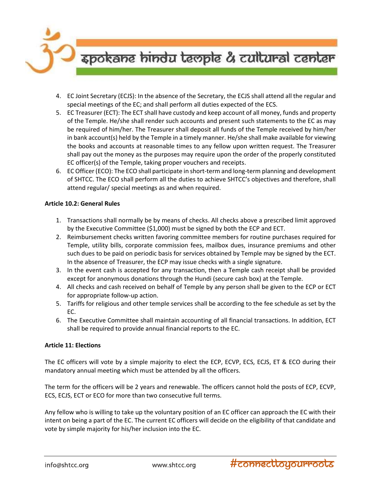

- 4. EC Joint Secretary (ECJS): In the absence of the Secretary, the ECJS shall attend all the regular and special meetings of the EC; and shall perform all duties expected of the ECS.
- 5. EC Treasurer (ECT): The ECT shall have custody and keep account of all money, funds and property of the Temple. He/she shall render such accounts and present such statements to the EC as may be required of him/her. The Treasurer shall deposit all funds of the Temple received by him/her in bank account(s) held by the Temple in a timely manner. He/she shall make available for viewing the books and accounts at reasonable times to any fellow upon written request. The Treasurer shall pay out the money as the purposes may require upon the order of the properly constituted EC officer(s) of the Temple, taking proper vouchers and receipts.
- 6. EC Officer (ECO): The ECO shall participate in short-term and long-term planning and development of SHTCC. The ECO shall perform all the duties to achieve SHTCC's objectives and therefore, shall attend regular/ special meetings as and when required.

# Article 10.2: General Rules

- 1. Transactions shall normally be by means of checks. All checks above a prescribed limit approved by the Executive Committee (\$1,000) must be signed by both the ECP and ECT.
- 2. Reimbursement checks written favoring committee members for routine purchases required for Temple, utility bills, corporate commission fees, mailbox dues, insurance premiums and other such dues to be paid on periodic basis for services obtained by Temple may be signed by the ECT. In the absence of Treasurer, the ECP may issue checks with a single signature.
- 3. In the event cash is accepted for any transaction, then a Temple cash receipt shall be provided except for anonymous donations through the Hundi (secure cash box) at the Temple.
- 4. All checks and cash received on behalf of Temple by any person shall be given to the ECP or ECT for appropriate follow-up action.
- 5. Tariffs for religious and other temple services shall be according to the fee schedule as set by the EC.
- 6. The Executive Committee shall maintain accounting of all financial transactions. In addition, ECT shall be required to provide annual financial reports to the EC.

# Article 11: Elections

The EC officers will vote by a simple majority to elect the ECP, ECVP, ECS, ECJS, ET & ECO during their mandatory annual meeting which must be attended by all the officers.

The term for the officers will be 2 years and renewable. The officers cannot hold the posts of ECP, ECVP, ECS, ECJS, ECT or ECO for more than two consecutive full terms.

Any fellow who is willing to take up the voluntary position of an EC officer can approach the EC with their intent on being a part of the EC. The current EC officers will decide on the eligibility of that candidate and vote by simple majority for his/her inclusion into the EC.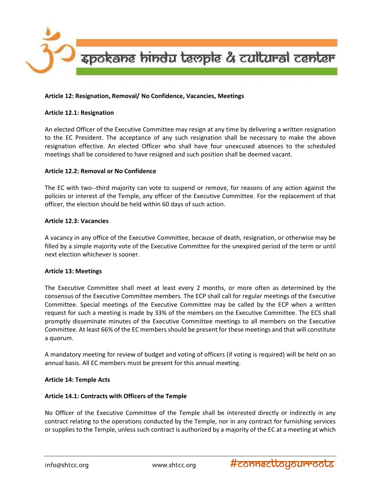

### Article 12: Resignation, Removal/ No Confidence, Vacancies, Meetings

#### Article 12.1: Resignation

An elected Officer of the Executive Committee may resign at any time by delivering a written resignation to the EC President. The acceptance of any such resignation shall be necessary to make the above resignation effective. An elected Officer who shall have four unexcused absences to the scheduled meetings shall be considered to have resigned and such position shall be deemed vacant.

### Article 12.2: Removal or No Confidence

The EC with two--third majority can vote to suspend or remove, for reasons of any action against the policies or interest of the Temple, any officer of the Executive Committee. For the replacement of that officer, the election should be held within 60 days of such action.

#### Article 12.3: Vacancies

A vacancy in any office of the Executive Committee, because of death, resignation, or otherwise may be filled by a simple majority vote of the Executive Committee for the unexpired period of the term or until next election whichever is sooner.

#### Article 13: Meetings

The Executive Committee shall meet at least every 2 months, or more often as determined by the consensus of the Executive Committee members. The ECP shall call for regular meetings of the Executive Committee. Special meetings of the Executive Committee may be called by the ECP when a written request for such a meeting is made by 33% of the members on the Executive Committee. The ECS shall promptly disseminate minutes of the Executive Committee meetings to all members on the Executive Committee. At least 66% of the EC members should be present for these meetings and that will constitute a quorum.

A mandatory meeting for review of budget and voting of officers (if voting is required) will be held on an annual basis. All EC members must be present for this annual meeting.

# Article 14: Temple Acts

#### Article 14.1: Contracts with Officers of the Temple

No Officer of the Executive Committee of the Temple shall be interested directly or indirectly in any contract relating to the operations conducted by the Temple, nor in any contract for furnishing services or supplies to the Temple, unless such contract is authorized by a majority of the EC at a meeting at which